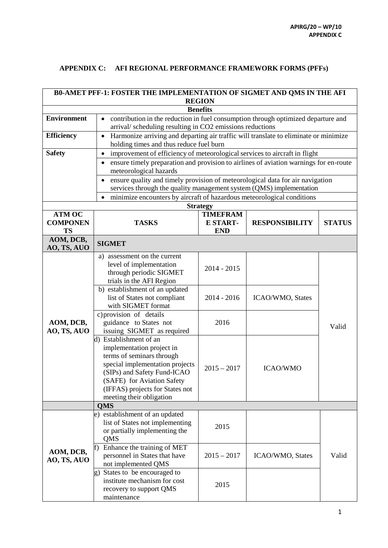## **APPENDIX C: AFI REGIONAL PERFORMANCE FRAMEWORK FORMS (PFFs)**

| <b>BO-AMET PFF-1: FOSTER THE IMPLEMENTATION OF SIGMET AND QMS IN THE AFI</b> |                                                                                                                      |                                                  |                         |               |  |  |
|------------------------------------------------------------------------------|----------------------------------------------------------------------------------------------------------------------|--------------------------------------------------|-------------------------|---------------|--|--|
| <b>REGION</b><br><b>Benefits</b>                                             |                                                                                                                      |                                                  |                         |               |  |  |
| <b>Environment</b>                                                           | contribution in the reduction in fuel consumption through optimized departure and                                    |                                                  |                         |               |  |  |
|                                                                              | arrival/scheduling resulting in CO2 emissions reductions                                                             |                                                  |                         |               |  |  |
| <b>Efficiency</b>                                                            | Harmonize arriving and departing air traffic will translate to eliminate or minimize<br>$\bullet$                    |                                                  |                         |               |  |  |
|                                                                              | holding times and thus reduce fuel burn                                                                              |                                                  |                         |               |  |  |
| <b>Safety</b>                                                                | improvement of efficiency of meteorological services to aircraft in flight<br>$\bullet$                              |                                                  |                         |               |  |  |
|                                                                              | ensure timely preparation and provision to airlines of aviation warnings for en-route<br>٠<br>meteorological hazards |                                                  |                         |               |  |  |
|                                                                              | ensure quality and timely provision of meteorological data for air navigation<br>$\bullet$                           |                                                  |                         |               |  |  |
|                                                                              | services through the quality management system (QMS) implementation                                                  |                                                  |                         |               |  |  |
|                                                                              | minimize encounters by aircraft of hazardous meteorological conditions                                               |                                                  |                         |               |  |  |
|                                                                              |                                                                                                                      | <b>Strategy</b>                                  |                         |               |  |  |
| <b>ATM OC</b><br><b>COMPONEN</b><br><b>TS</b>                                | <b>TASKS</b>                                                                                                         | <b>TIMEFRAM</b><br><b>E START-</b><br><b>END</b> | <b>RESPONSIBILITY</b>   | <b>STATUS</b> |  |  |
| AOM, DCB,<br>AO, TS, AUO                                                     | <b>SIGMET</b>                                                                                                        |                                                  |                         |               |  |  |
|                                                                              | a) assessment on the current                                                                                         |                                                  |                         |               |  |  |
|                                                                              | level of implementation                                                                                              | $2014 - 2015$                                    |                         |               |  |  |
|                                                                              | through periodic SIGMET                                                                                              |                                                  |                         |               |  |  |
|                                                                              | trials in the AFI Region                                                                                             |                                                  |                         |               |  |  |
|                                                                              | b) establishment of an updated                                                                                       |                                                  |                         |               |  |  |
|                                                                              | list of States not compliant                                                                                         | $2014 - 2016$                                    | ICAO/WMO, States        |               |  |  |
|                                                                              | with SIGMET format                                                                                                   |                                                  |                         |               |  |  |
|                                                                              | c) provision of details                                                                                              |                                                  |                         |               |  |  |
| AOM, DCB,                                                                    | guidance to States not                                                                                               | 2016                                             |                         | Valid         |  |  |
| AO, TS, AUO                                                                  | issuing SIGMET as required                                                                                           |                                                  |                         |               |  |  |
|                                                                              | d) Establishment of an                                                                                               |                                                  |                         |               |  |  |
|                                                                              | implementation project in                                                                                            |                                                  |                         |               |  |  |
|                                                                              | terms of seminars through                                                                                            |                                                  | <b>ICAO/WMO</b>         |               |  |  |
|                                                                              | special implementation projects                                                                                      | $2015 - 2017$                                    |                         |               |  |  |
|                                                                              | (SIPs) and Safety Fund-ICAO                                                                                          |                                                  |                         |               |  |  |
|                                                                              | (SAFE) for Aviation Safety<br>(IFFAS) projects for States not                                                        |                                                  |                         |               |  |  |
|                                                                              | meeting their obligation                                                                                             |                                                  |                         |               |  |  |
|                                                                              | <b>QMS</b>                                                                                                           |                                                  |                         |               |  |  |
|                                                                              | e) establishment of an updated                                                                                       |                                                  |                         |               |  |  |
|                                                                              | list of States not implementing                                                                                      |                                                  |                         |               |  |  |
| AOM, DCB,<br>AO, TS, AUO                                                     | or partially implementing the                                                                                        | 2015                                             |                         |               |  |  |
|                                                                              | QMS                                                                                                                  |                                                  |                         |               |  |  |
|                                                                              | Enhance the training of MET<br>f)                                                                                    |                                                  |                         |               |  |  |
|                                                                              | personnel in States that have                                                                                        | $2015 - 2017$                                    | <b>ICAO/WMO, States</b> | Valid         |  |  |
|                                                                              | not implemented QMS                                                                                                  |                                                  |                         |               |  |  |
|                                                                              | States to be encouraged to<br>g)                                                                                     |                                                  |                         |               |  |  |
|                                                                              | institute mechanism for cost                                                                                         | 2015                                             |                         |               |  |  |
|                                                                              | recovery to support QMS                                                                                              |                                                  |                         |               |  |  |
|                                                                              | maintenance                                                                                                          |                                                  |                         |               |  |  |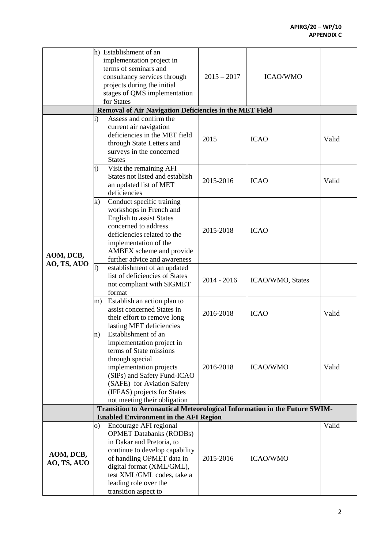|                          |          | h) Establishment of an                                                    |               |                                |       |
|--------------------------|----------|---------------------------------------------------------------------------|---------------|--------------------------------|-------|
|                          |          | implementation project in                                                 |               | <b>ICAO/WMO</b><br><b>ICAO</b> |       |
|                          |          | terms of seminars and                                                     |               |                                |       |
|                          |          | consultancy services through                                              | $2015 - 2017$ |                                |       |
|                          |          | projects during the initial                                               |               |                                |       |
|                          |          | stages of QMS implementation                                              |               |                                |       |
|                          |          | for States                                                                |               |                                |       |
|                          |          | Removal of Air Navigation Deficiencies in the MET Field                   |               |                                |       |
|                          | i)       | Assess and confirm the                                                    |               |                                |       |
|                          |          | current air navigation                                                    |               |                                |       |
|                          |          | deficiencies in the MET field                                             |               |                                |       |
|                          |          | through State Letters and                                                 | 2015          |                                | Valid |
|                          |          | surveys in the concerned                                                  |               |                                |       |
|                          |          | <b>States</b>                                                             |               |                                |       |
|                          | i)       | Visit the remaining AFI                                                   |               |                                |       |
|                          |          | States not listed and establish                                           |               |                                |       |
|                          |          | an updated list of MET                                                    | 2015-2016     | <b>ICAO</b>                    | Valid |
|                          |          | deficiencies                                                              |               |                                |       |
|                          | $\bf k)$ | Conduct specific training                                                 |               |                                |       |
|                          |          | workshops in French and                                                   |               |                                |       |
|                          |          | <b>English to assist States</b>                                           |               |                                |       |
|                          |          | concerned to address                                                      |               |                                |       |
|                          |          | deficiencies related to the                                               | 2015-2018     | <b>ICAO</b>                    |       |
|                          |          |                                                                           |               |                                |       |
|                          |          | implementation of the                                                     |               |                                |       |
| AOM, DCB,                |          | AMBEX scheme and provide                                                  |               |                                |       |
| AO, TS, AUO              |          | further advice and awareness                                              |               |                                |       |
|                          | $\vert$  | establishment of an updated                                               |               | ICAO/WMO, States               |       |
|                          |          | list of deficiencies of States                                            | $2014 - 2016$ |                                |       |
|                          |          | not compliant with SIGMET                                                 |               |                                |       |
|                          |          | format                                                                    |               |                                |       |
|                          | m)       | Establish an action plan to                                               | 2016-2018     | <b>ICAO</b>                    |       |
|                          |          | assist concerned States in                                                |               |                                | Valid |
|                          |          | their effort to remove long                                               |               |                                |       |
|                          |          | lasting MET deficiencies                                                  |               |                                |       |
|                          | n)       | Establishment of an                                                       |               |                                |       |
|                          |          | implementation project in                                                 |               | <b>ICAO/WMO</b>                |       |
|                          |          | terms of State missions                                                   |               |                                |       |
|                          |          | through special                                                           |               |                                | Valid |
|                          |          | implementation projects                                                   | 2016-2018     |                                |       |
|                          |          | (SIPs) and Safety Fund-ICAO                                               |               |                                |       |
|                          |          | (SAFE) for Aviation Safety                                                |               |                                |       |
|                          |          | (IFFAS) projects for States                                               |               |                                |       |
|                          |          | not meeting their obligation                                              |               |                                |       |
|                          |          | Transition to Aeronautical Meteorological Information in the Future SWIM- |               |                                |       |
|                          |          | <b>Enabled Environment in the AFI Region</b>                              |               |                                |       |
|                          | O)       | Encourage AFI regional                                                    |               |                                | Valid |
| AOM, DCB,<br>AO, TS, AUO |          | <b>OPMET Databanks (RODBs)</b>                                            |               |                                |       |
|                          |          | in Dakar and Pretoria, to                                                 |               | <b>ICAO/WMO</b>                |       |
|                          |          | continue to develop capability                                            |               |                                |       |
|                          |          | of handling OPMET data in                                                 | 2015-2016     |                                |       |
|                          |          | digital format (XML/GML),                                                 |               |                                |       |
|                          |          | test XML/GML codes, take a                                                |               |                                |       |
|                          |          | leading role over the                                                     |               |                                |       |
|                          |          | transition aspect to                                                      |               |                                |       |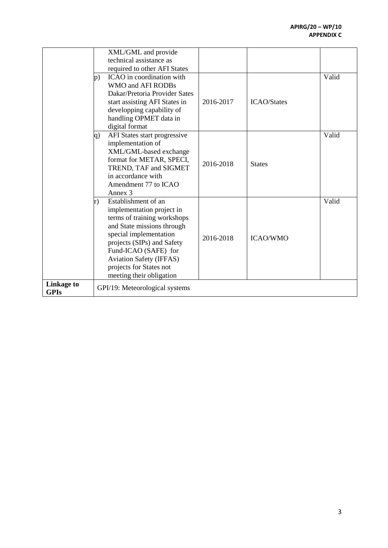|             |    | XML/GML and provide            |           |                    |       |
|-------------|----|--------------------------------|-----------|--------------------|-------|
|             |    | technical assistance as        |           |                    |       |
|             |    |                                |           |                    |       |
|             |    | required to other AFI States   |           |                    |       |
|             | p) | ICAO in coordination with      |           |                    | Valid |
|             |    | WMO and AFI RODBs              |           |                    |       |
|             |    | Dakar/Pretoria Provider Sates  |           |                    |       |
|             |    | start assisting AFI States in  | 2016-2017 | <b>ICAO/States</b> |       |
|             |    | developping capability of      |           |                    |       |
|             |    | handling OPMET data in         |           |                    |       |
|             |    | digital format                 |           |                    |       |
|             | q) | AFI States start progressive   |           |                    | Valid |
|             |    | implementation of              |           |                    |       |
|             |    | XML/GML-based exchange         |           |                    |       |
|             |    | format for METAR, SPECI,       | 2016-2018 | <b>States</b>      |       |
|             |    | TREND, TAF and SIGMET          |           |                    |       |
|             |    | in accordance with             |           |                    |       |
|             |    | Amendment 77 to ICAO           |           |                    |       |
|             |    | Annex <sub>3</sub>             |           |                    |       |
|             | r) | Establishment of an            |           |                    | Valid |
|             |    | implementation project in      |           |                    |       |
|             |    | terms of training workshops    |           |                    |       |
|             |    | and State missions through     |           |                    |       |
|             |    | special implementation         |           |                    |       |
|             |    | projects (SIPs) and Safety     | 2016-2018 | <b>ICAO/WMO</b>    |       |
|             |    | Fund-ICAO (SAFE) for           |           |                    |       |
|             |    | <b>Aviation Safety (IFFAS)</b> |           |                    |       |
|             |    | projects for States not        |           |                    |       |
|             |    | meeting their obligation       |           |                    |       |
| Linkage to  |    |                                |           |                    |       |
| <b>GPIs</b> |    | GPI/19: Meteorological systems |           |                    |       |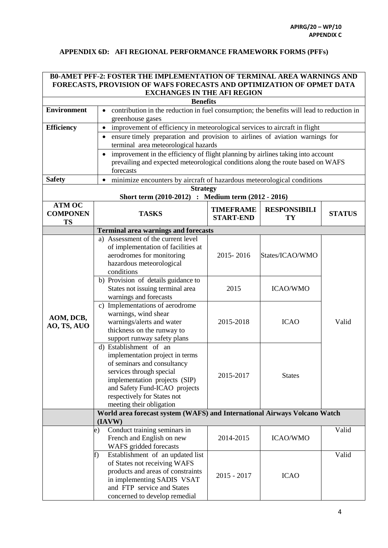## **APPENDIX 6D: AFI REGIONAL PERFORMANCE FRAMEWORK FORMS (PFFs)**

| <b>B0-AMET PFF-2: FOSTER THE IMPLEMENTATION OF TERMINAL AREA WARNINGS AND</b> |                                                                                  |                                                                                             |                           |               |  |  |  |
|-------------------------------------------------------------------------------|----------------------------------------------------------------------------------|---------------------------------------------------------------------------------------------|---------------------------|---------------|--|--|--|
| FORECASTS, PROVISION OF WAFS FORECASTS AND OPTIMIZATION OF OPMET DATA         |                                                                                  |                                                                                             |                           |               |  |  |  |
| <b>EXCHANGES IN THE AFI REGION</b>                                            |                                                                                  |                                                                                             |                           |               |  |  |  |
|                                                                               | <b>Benefits</b>                                                                  |                                                                                             |                           |               |  |  |  |
| <b>Environment</b>                                                            | greenhouse gases                                                                 | • contribution in the reduction in fuel consumption; the benefits will lead to reduction in |                           |               |  |  |  |
| <b>Efficiency</b>                                                             | improvement of efficiency in meteorological services to aircraft in flight       |                                                                                             |                           |               |  |  |  |
|                                                                               | ensure timely preparation and provision to airlines of aviation warnings for     |                                                                                             |                           |               |  |  |  |
|                                                                               | terminal area meteorological hazards                                             |                                                                                             |                           |               |  |  |  |
|                                                                               | improvement in the efficiency of flight planning by airlines taking into account |                                                                                             |                           |               |  |  |  |
|                                                                               | prevailing and expected meteorological conditions along the route based on WAFS  |                                                                                             |                           |               |  |  |  |
|                                                                               | forecasts                                                                        |                                                                                             |                           |               |  |  |  |
| <b>Safety</b>                                                                 | minimize encounters by aircraft of hazardous meteorological conditions           |                                                                                             |                           |               |  |  |  |
|                                                                               | <b>Strategy</b>                                                                  |                                                                                             |                           |               |  |  |  |
|                                                                               | Short term (2010-2012) : Medium term (2012 - 2016)                               |                                                                                             |                           |               |  |  |  |
| <b>ATM OC</b><br><b>COMPONEN</b>                                              | <b>TASKS</b>                                                                     | <b>TIMEFRAME</b><br><b>START-END</b>                                                        | <b>RESPONSIBILI</b><br>TY | <b>STATUS</b> |  |  |  |
| <b>TS</b>                                                                     | <b>Terminal area warnings and forecasts</b>                                      |                                                                                             |                           |               |  |  |  |
|                                                                               | a) Assessment of the current level                                               |                                                                                             |                           |               |  |  |  |
|                                                                               | of implementation of facilities at                                               |                                                                                             |                           |               |  |  |  |
|                                                                               | aerodromes for monitoring                                                        | 2015-2016                                                                                   | States/ICAO/WMO           |               |  |  |  |
|                                                                               | hazardous meteorological                                                         |                                                                                             |                           |               |  |  |  |
|                                                                               | conditions                                                                       |                                                                                             |                           |               |  |  |  |
|                                                                               | b) Provision of details guidance to                                              |                                                                                             |                           |               |  |  |  |
|                                                                               | States not issuing terminal area                                                 | 2015                                                                                        | <b>ICAO/WMO</b>           |               |  |  |  |
|                                                                               | warnings and forecasts                                                           |                                                                                             |                           |               |  |  |  |
|                                                                               | c) Implementations of aerodrome                                                  |                                                                                             |                           |               |  |  |  |
| AOM, DCB,                                                                     | warnings, wind shear                                                             |                                                                                             |                           | Valid         |  |  |  |
| AO, TS, AUO                                                                   | warnings/alerts and water                                                        | 2015-2018                                                                                   | <b>ICAO</b>               |               |  |  |  |
|                                                                               | thickness on the runway to<br>support runway safety plans                        |                                                                                             |                           |               |  |  |  |
|                                                                               | d) Establishment of an                                                           |                                                                                             |                           |               |  |  |  |
|                                                                               | implementation project in terms                                                  |                                                                                             | <b>States</b>             |               |  |  |  |
|                                                                               | of seminars and consultancy                                                      |                                                                                             |                           |               |  |  |  |
|                                                                               | services through special                                                         |                                                                                             |                           |               |  |  |  |
|                                                                               | implementation projects (SIP)                                                    | 2015-2017                                                                                   |                           |               |  |  |  |
|                                                                               | and Safety Fund-ICAO projects                                                    |                                                                                             |                           |               |  |  |  |
|                                                                               | respectively for States not                                                      |                                                                                             |                           |               |  |  |  |
|                                                                               | meeting their obligation                                                         |                                                                                             |                           |               |  |  |  |
|                                                                               | World area forecast system (WAFS) and International Airways Volcano Watch        |                                                                                             |                           |               |  |  |  |
|                                                                               | (IAVW)                                                                           |                                                                                             |                           | Valid         |  |  |  |
|                                                                               | Conduct training seminars in<br>e)<br>French and English on new                  | 2014-2015                                                                                   | <b>ICAO/WMO</b>           |               |  |  |  |
|                                                                               | WAFS gridded forecasts                                                           |                                                                                             |                           |               |  |  |  |
|                                                                               | Establishment of an updated list<br>f)                                           |                                                                                             |                           | Valid         |  |  |  |
|                                                                               | of States not receiving WAFS                                                     |                                                                                             |                           |               |  |  |  |
|                                                                               | products and areas of constraints                                                |                                                                                             | <b>ICAO</b>               |               |  |  |  |
|                                                                               | in implementing SADIS VSAT                                                       | $2015 - 2017$                                                                               |                           |               |  |  |  |
|                                                                               | and FTP service and States                                                       |                                                                                             |                           |               |  |  |  |
|                                                                               | concerned to develop remedial                                                    |                                                                                             |                           |               |  |  |  |